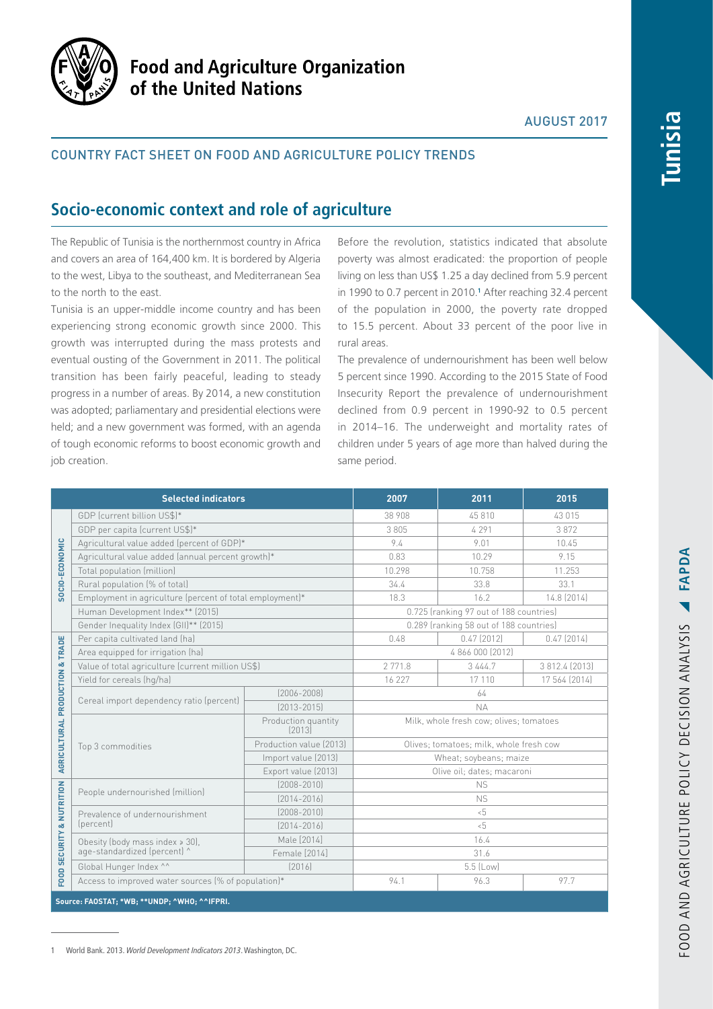

# **Food and Agriculture Organization** of the United Nations

## AUGUST 2017

## COUNTRY FACT SHEET ON FOOD AND AGRICULTURE POLICY TRENDS

# **Socio-economic context and role of agriculture**

The Republic of Tunisia is the northernmost country in Africa and covers an area of 164,400 km. It is bordered by Algeria to the west, Libya to the southeast, and Mediterranean Sea to the north to the east.

Tunisia is an upper-middle income country and has been experiencing strong economic growth since 2000. This growth was interrupted during the mass protests and eventual ousting of the Government in 2011. The political transition has been fairly peaceful, leading to steady progress in a number of areas. By 2014, a new constitution was adopted; parliamentary and presidential elections were held; and a new government was formed, with an agenda of tough economic reforms to boost economic growth and job creation.

Before the revolution, statistics indicated that absolute poverty was almost eradicated: the proportion of people living on less than US\$ 1.25 a day declined from 5.9 percent in 1990 to 0.7 percent in 2010.**<sup>1</sup>** After reaching 32.4 percent of the population in 2000, the poverty rate dropped to 15.5 percent. About 33 percent of the poor live in rural areas.

The prevalence of undernourishment has been well below 5 percent since 1990. According to the 2015 State of Food Insecurity Report the prevalence of undernourishment declined from 0.9 percent in 1990-92 to 0.5 percent in 2014–16. The underweight and mortality rates of children under 5 years of age more than halved during the same period.

| <b>Selected indicators</b>                    |                                                                     |                               | 2007                                    | 2011                                    | 2015           |  |
|-----------------------------------------------|---------------------------------------------------------------------|-------------------------------|-----------------------------------------|-----------------------------------------|----------------|--|
| <b>SOCIO-ECONOMIC</b>                         | GDP (current billion US\$)*                                         |                               | 38 908                                  | 45810                                   | 43 015         |  |
|                                               | GDP per capita (current US\$)*                                      |                               | 3 8 0 5                                 | 4 2 9 1                                 | 3872           |  |
|                                               | Agricultural value added (percent of GDP)*                          |                               | 9.4                                     | 9.01                                    | 10.45          |  |
|                                               | Agricultural value added (annual percent growth)*                   |                               | 0.83                                    | 10.29                                   | 9.15           |  |
|                                               | Total population (million)                                          |                               | 10.298                                  | 10.758                                  | 11.253         |  |
|                                               | Rural population (% of total)                                       |                               | 34.4                                    | 33.8                                    | 33.1           |  |
|                                               | Employment in agriculture (percent of total employment)*            |                               | 18.3                                    | 16.2                                    | 14.8 (2014)    |  |
|                                               | Human Development Index** (2015)                                    |                               | 0.725 (ranking 97 out of 188 countries) |                                         |                |  |
|                                               | Gender Inequality Index (GII)** (2015)                              |                               |                                         | 0.289 (ranking 58 out of 188 countries) |                |  |
| & TRADE<br>AGRICULTURAL PRODUCTION            | Per capita cultivated land (ha)                                     |                               | 0.48                                    | $0.47$ (2012)                           | $0.47$ (2014)  |  |
|                                               | Area equipped for irrigation (ha)                                   |                               | 4 866 000 (2012)                        |                                         |                |  |
|                                               | Value of total agriculture (current million US\$)                   |                               | 2 771.8                                 | 3 4 4 4.7                               | 3 812.4 (2013) |  |
|                                               | Yield for cereals (hg/ha)                                           |                               | 16 227                                  | 17 110                                  | 17 564 (2014)  |  |
|                                               | Cereal import dependency ratio (percent)                            | $[2006 - 2008]$               | 64                                      |                                         |                |  |
|                                               |                                                                     | $[2013 - 2015]$               | <b>NA</b>                               |                                         |                |  |
|                                               | Top 3 commodities                                                   | Production quantity<br>[2013] | Milk, whole fresh cow; olives; tomatoes |                                         |                |  |
|                                               |                                                                     | Production value (2013)       | Olives; tomatoes; milk, whole fresh cow |                                         |                |  |
|                                               |                                                                     | Import value (2013)           |                                         | Wheat; soybeans; maize                  |                |  |
|                                               |                                                                     | Export value (2013)           | Olive oil; dates; macaroni              |                                         |                |  |
| <b>SECURITY &amp; NUTRITION</b>               | People undernourished (million)                                     | $[2008 - 2010]$               | <b>NS</b>                               |                                         |                |  |
|                                               |                                                                     | $[2014 - 2016]$               | <b>NS</b>                               |                                         |                |  |
|                                               | Prevalence of undernourishment<br>(percent)                         | $[2008 - 2010]$               | $5 -$                                   |                                         |                |  |
|                                               |                                                                     | $[2014 - 2016]$               | $5 - 5$                                 |                                         |                |  |
|                                               | Obesity (body mass index $\ge$ 30),<br>age-standardized (percent) ^ | Male [2014]                   | 16.4                                    |                                         |                |  |
|                                               |                                                                     | Female [2014]                 | 31.6                                    |                                         |                |  |
|                                               | Global Hunger Index ^^                                              | [2016]                        | 5.5 (Low)                               |                                         |                |  |
| FOOD:                                         | Access to improved water sources (% of population)*                 |                               | 94.1                                    | 96.3                                    | 97.7           |  |
| Source: FAOSTAT; *WB; ** UNDP; ^WHO; ^^IFPRI. |                                                                     |                               |                                         |                                         |                |  |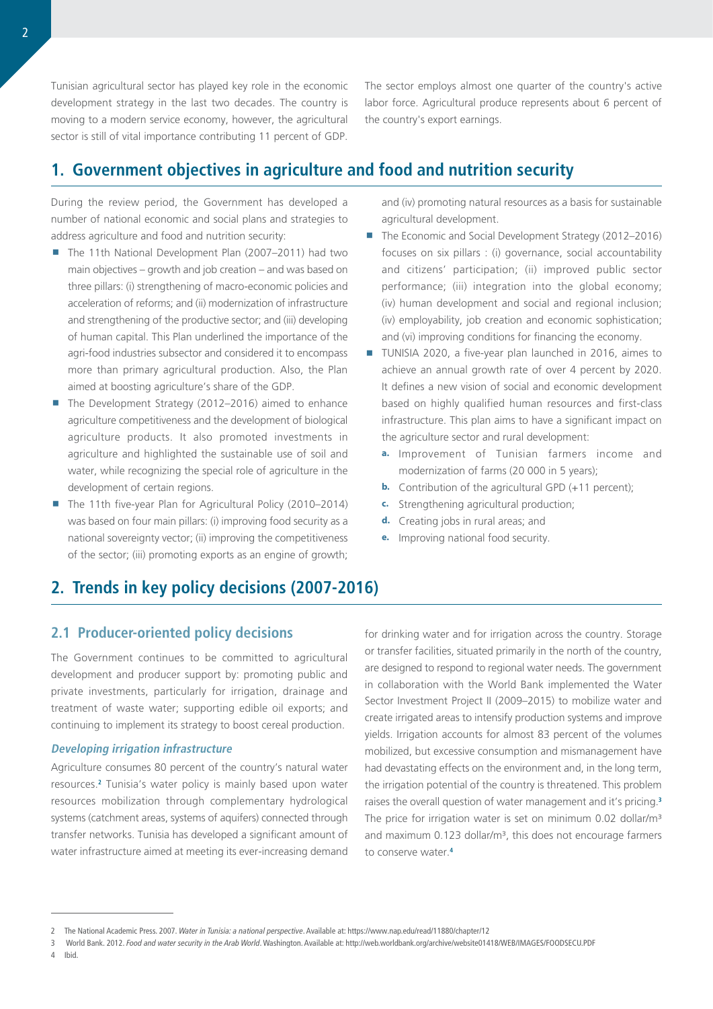Tunisian agricultural sector has played key role in the economic development strategy in the last two decades. The country is moving to a modern service economy, however, the agricultural sector is still of vital importance contributing 11 percent of GDP.

The sector employs almost one quarter of the country's active labor force. Agricultural produce represents about 6 percent of the country's export earnings.

# **1. Government objectives in agriculture and food and nutrition security**

During the review period, the Government has developed a number of national economic and social plans and strategies to address agriculture and food and nutrition security:

- The 11th National Development Plan (2007–2011) had two main objectives – growth and job creation – and was based on three pillars: (i) strengthening of macro-economic policies and acceleration of reforms; and (ii) modernization of infrastructure and strengthening of the productive sector; and (iii) developing of human capital. This Plan underlined the importance of the agri-food industries subsector and considered it to encompass more than primary agricultural production. Also, the Plan aimed at boosting agriculture's share of the GDP.
- The Development Strategy (2012–2016) aimed to enhance agriculture competitiveness and the development of biological agriculture products. It also promoted investments in agriculture and highlighted the sustainable use of soil and water, while recognizing the special role of agriculture in the development of certain regions.
- The 11th five-year Plan for Agricultural Policy (2010–2014) was based on four main pillars: (i) improving food security as a national sovereignty vector; (ii) improving the competitiveness of the sector; (iii) promoting exports as an engine of growth;

and (iv) promoting natural resources as a basis for sustainable agricultural development.

- The Economic and Social Development Strategy (2012–2016) focuses on six pillars : (i) governance, social accountability and citizens' participation; (ii) improved public sector performance; (iii) integration into the global economy; (iv) human development and social and regional inclusion; (iv) employability, job creation and economic sophistication; and (vi) improving conditions for financing the economy.
- TUNISIA 2020, a five-year plan launched in 2016, aimes to achieve an annual growth rate of over 4 percent by 2020. It defines a new vision of social and economic development based on highly qualified human resources and first-class infrastructure. This plan aims to have a significant impact on the agriculture sector and rural development:
	- **a.** Improvement of Tunisian farmers income and modernization of farms (20 000 in 5 years);
	- **b.** Contribution of the agricultural GPD (+11 percent);
	- **c.** Strengthening agricultural production;
	- **d.** Creating jobs in rural areas; and
	- **e.** Improving national food security.

# **2. Trends in key policy decisions (2007-2016)**

## **2.1 Producer-oriented policy decisions**

The Government continues to be committed to agricultural development and producer support by: promoting public and private investments, particularly for irrigation, drainage and treatment of waste water; supporting edible oil exports; and continuing to implement its strategy to boost cereal production.

#### **Developing irrigation infrastructure**

Agriculture consumes 80 percent of the country's natural water resources.**<sup>2</sup>** Tunisia's water policy is mainly based upon water resources mobilization through complementary hydrological systems (catchment areas, systems of aquifers) connected through transfer networks. Tunisia has developed a significant amount of water infrastructure aimed at meeting its ever-increasing demand

for drinking water and for irrigation across the country. Storage or transfer facilities, situated primarily in the north of the country, are designed to respond to regional water needs. The government in collaboration with the World Bank implemented the Water Sector Investment Project II (2009–2015) to mobilize water and create irrigated areas to intensify production systems and improve yields. Irrigation accounts for almost 83 percent of the volumes mobilized, but excessive consumption and mismanagement have had devastating effects on the environment and, in the long term, the irrigation potential of the country is threatened. This problem raises the overall question of water management and it's pricing.**<sup>3</sup>** The price for irrigation water is set on minimum 0.02 dollar/m<sup>3</sup> and maximum 0.123 dollar/m<sup>3</sup>, this does not encourage farmers to conserve water.**4**

4 Ibid.

<sup>2</sup> The National Academic Press. 2007. *Water in Tunisia: a national perspective*. Available at:<https://www.nap.edu/read/11880/chapter/12>

<sup>3</sup> World Bank. 2012. *Food and water security in the Arab World*. Washington. Available at: <http://web.worldbank.org/archive/website01418/WEB/IMAGES/FOODSECU.PDF>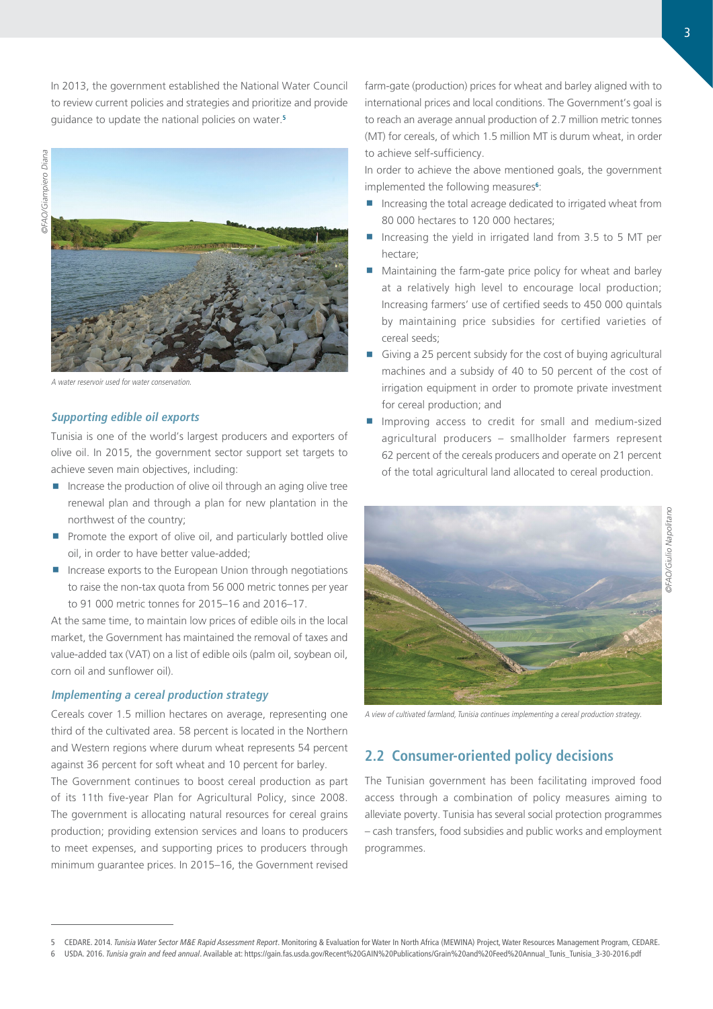In 2013, the government established the National Water Council to review current policies and strategies and prioritize and provide guidance to update the national policies on water.**<sup>5</sup>**



A water reservoir used for water conservation.

### **Supporting edible oil exports**

Tunisia is one of the world's largest producers and exporters of olive oil. In 2015, the government sector support set targets to achieve seven main objectives, including:

- Increase the production of olive oil through an aging olive tree renewal plan and through a plan for new plantation in the northwest of the country;
- Promote the export of olive oil, and particularly bottled olive oil, in order to have better value-added;
- **Increase exports to the European Union through negotiations** to raise the non-tax quota from 56 000 metric tonnes per year to 91 000 metric tonnes for 2015–16 and 2016–17.

At the same time, to maintain low prices of edible oils in the local market, the Government has maintained the removal of taxes and value-added tax (VAT) on a list of edible oils (palm oil, soybean oil, corn oil and sunflower oil).

### **Implementing a cereal production strategy**

Cereals cover 1.5 million hectares on average, representing one third of the cultivated area. 58 percent is located in the Northern and Western regions where durum wheat represents 54 percent against 36 percent for soft wheat and 10 percent for barley.

The Government continues to boost cereal production as part of its 11th five-year Plan for Agricultural Policy, since 2008. The government is allocating natural resources for cereal grains production; providing extension services and loans to producers to meet expenses, and supporting prices to producers through minimum guarantee prices. In 2015–16, the Government revised

farm-gate (production) prices for wheat and barley aligned with to international prices and local conditions. The Government's goal is to reach an average annual production of 2.7 million metric tonnes (MT) for cereals, of which 1.5 million MT is durum wheat, in order to achieve self-sufficiency.

In order to achieve the above mentioned goals, the government implemented the following measures**<sup>6</sup>** :

- **Increasing the total acreage dedicated to irrigated wheat from** 80 000 hectares to 120 000 hectares;
- Increasing the yield in irrigated land from 3.5 to 5 MT per hectare;
- **Maintaining the farm-gate price policy for wheat and barley** at a relatively high level to encourage local production; Increasing farmers' use of certified seeds to 450 000 quintals by maintaining price subsidies for certified varieties of cereal seeds;
- Giving a 25 percent subsidy for the cost of buying agricultural machines and a subsidy of 40 to 50 percent of the cost of irrigation equipment in order to promote private investment for cereal production; and
- Improving access to credit for small and medium-sized agricultural producers – smallholder farmers represent 62 percent of the cereals producers and operate on 21 percent of the total agricultural land allocated to cereal production.



A view of cultivated farmland, Tunisia continues implementing a cereal production strategy.

## **2.2 Consumer-oriented policy decisions**

The Tunisian government has been facilitating improved food access through a combination of policy measures aiming to alleviate poverty. Tunisia has several social protection programmes – cash transfers, food subsidies and public works and employment programmes.

<sup>5</sup> CEDARE. 2014. *Tunisia Water Sector M&E Rapid Assessment Report*. Monitoring & Evaluation for Water In North Africa (MEWINA) Project, Water Resources Management Program, CEDARE.

<sup>6</sup> USDA. 2016. *Tunisia grain and feed annual*. Available at: [https://gain.fas.usda.gov/Recent%20GAIN%20Publications/Grain%20and%20Feed%20Annual\\_Tunis\\_Tunisia\\_3-30-2016.pdf](https://gain.fas.usda.gov/Recent%20GAIN%20Publications/Grain%20and%20Feed%20Annual_Tunis_Tunisia_3-30-2016.pdf)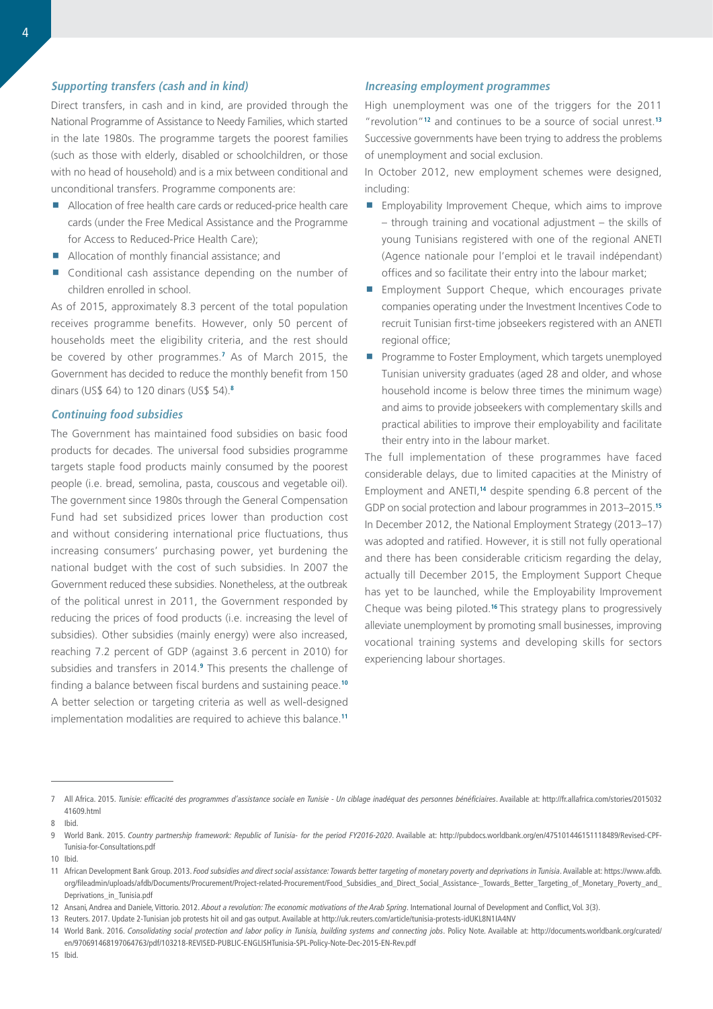### **Supporting transfers (cash and in kind)**

Direct transfers, in cash and in kind, are provided through the National Programme of Assistance to Needy Families, which started in the late 1980s. The programme targets the poorest families (such as those with elderly, disabled or schoolchildren, or those with no head of household) and is a mix between conditional and unconditional transfers. Programme components are:

- Allocation of free health care cards or reduced-price health care cards (under the Free Medical Assistance and the Programme for Access to Reduced-Price Health Care);
- Allocation of monthly financial assistance; and
- Conditional cash assistance depending on the number of children enrolled in school.

As of 2015, approximately 8.3 percent of the total population receives programme benefits. However, only 50 percent of households meet the eligibility criteria, and the rest should be covered by other programmes.**<sup>7</sup>** As of March 2015, the Government has decided to reduce the monthly benefit from 150 dinars (US\$ 64) to 120 dinars (US\$ 54).**<sup>8</sup>**

#### **Continuing food subsidies**

The Government has maintained food subsidies on basic food products for decades. The universal food subsidies programme targets staple food products mainly consumed by the poorest people (i.e. bread, semolina, pasta, couscous and vegetable oil). The government since 1980s through the General Compensation Fund had set subsidized prices lower than production cost and without considering international price fluctuations, thus increasing consumers' purchasing power, yet burdening the national budget with the cost of such subsidies. In 2007 the Government reduced these subsidies. Nonetheless, at the outbreak of the political unrest in 2011, the Government responded by reducing the prices of food products (i.e. increasing the level of subsidies). Other subsidies (mainly energy) were also increased, reaching 7.2 percent of GDP (against 3.6 percent in 2010) for subsidies and transfers in 2014.**<sup>9</sup>** This presents the challenge of finding a balance between fiscal burdens and sustaining peace.**<sup>10</sup>** A better selection or targeting criteria as well as well-designed implementation modalities are required to achieve this balance.**<sup>11</sup>**

### **Increasing employment programmes**

High unemployment was one of the triggers for the 2011 "revolution"**<sup>12</sup>** and continues to be a source of social unrest.**<sup>13</sup>** Successive governments have been trying to address the problems of unemployment and social exclusion.

In October 2012, new employment schemes were designed, including:

- **Employability Improvement Cheque, which aims to improve** – through training and vocational adjustment – the skills of young Tunisians registered with one of the regional ANETI (Agence nationale pour l'emploi et le travail indépendant) offices and so facilitate their entry into the labour market;
- **Employment Support Cheque, which encourages private** companies operating under the Investment Incentives Code to recruit Tunisian first-time jobseekers registered with an ANETI regional office;
- **Programme to Foster Employment, which targets unemployed** Tunisian university graduates (aged 28 and older, and whose household income is below three times the minimum wage) and aims to provide jobseekers with complementary skills and practical abilities to improve their employability and facilitate their entry into in the labour market.

The full implementation of these programmes have faced considerable delays, due to limited capacities at the Ministry of Employment and ANETI,**<sup>14</sup>** despite spending 6.8 percent of the GDP on social protection and labour programmes in 2013–2015.**<sup>15</sup>** In December 2012, the National Employment Strategy (2013–17) was adopted and ratified. However, it is still not fully operational and there has been considerable criticism regarding the delay, actually till December 2015, the Employment Support Cheque has yet to be launched, while the Employability Improvement Cheque was being piloted.**<sup>16</sup>**This strategy plans to progressively alleviate unemployment by promoting small businesses, improving vocational training systems and developing skills for sectors experiencing labour shortages.

15 Ibid.

<sup>7</sup> All Africa. 2015. *Tunisie: efficacité des programmes d'assistance sociale en Tunisie - Un ciblage inadéquat des personnes bénéficiaires*. Available at: [http://fr.allafrica.com/stories/2015032](http://fr.allafrica.com/stories/201503241609.html) [41609.html](http://fr.allafrica.com/stories/201503241609.html)

<sup>8</sup> Ibid.

<sup>9</sup> World Bank. 2015. *Country partnership framework: Republic of Tunisia- for the period FY2016-2020*. Available at: [http://pubdocs.worldbank.org/en/475101446151118489/Revised-CPF-](http://pubdocs.worldbank.org/en/475101446151118489/Revised-CPF-Tunisia-for-Consultations.pdf)[Tunisia-for-Consultations.pdf](http://pubdocs.worldbank.org/en/475101446151118489/Revised-CPF-Tunisia-for-Consultations.pdf) 

<sup>10</sup> Ibid.

<sup>11</sup> African Development Bank Group. 2013. *Food subsidies and direct social assistance: Towards better targeting of monetary poverty and deprivations in Tunisia*. Available at: [https://www.afdb.](https://www.afdb.org/fileadmin/uploads/afdb/Documents/Procurement/Project-related-Procurement/Food_Subsidies_and_Direct_Social_Assistance-_Towards_Better_Targeting_of_Monetary_Poverty_and_Deprivations_in_Tunisia.pdf) [org/fileadmin/uploads/afdb/Documents/Procurement/Project-related-Procurement/Food\\_Subsidies\\_and\\_Direct\\_Social\\_Assistance-\\_Towards\\_Better\\_Targeting\\_of\\_Monetary\\_Poverty\\_and\\_](https://www.afdb.org/fileadmin/uploads/afdb/Documents/Procurement/Project-related-Procurement/Food_Subsidies_and_Direct_Social_Assistance-_Towards_Better_Targeting_of_Monetary_Poverty_and_Deprivations_in_Tunisia.pdf) [Deprivations\\_in\\_Tunisia.pdf](https://www.afdb.org/fileadmin/uploads/afdb/Documents/Procurement/Project-related-Procurement/Food_Subsidies_and_Direct_Social_Assistance-_Towards_Better_Targeting_of_Monetary_Poverty_and_Deprivations_in_Tunisia.pdf) 

<sup>12</sup> Ansani, Andrea and Daniele, Vittorio. 2012. *About a revolution: The economic motivations of the Arab Spring*. International Journal of Development and Conflict, Vol. 3(3).

<sup>13</sup> Reuters. 2017. Update 2-Tunisian job protests hit oil and gas output. Available at <http://uk.reuters.com/article/tunisia-protests-idUKL8N1IA4NV>

<sup>14</sup> World Bank. 2016. *Consolidating social protection and labor policy in Tunisia, building systems and connecting jobs*. Policy Note. Available at: [http://documents.worldbank.org/curated/](http://documents.worldbank.org/curated/en/970691468197064763/pdf/103218-REVISED-PUBLIC-ENGLISHTunisia-SPL-Policy-Note-Dec-2015-EN-Rev.pdf 
) [en/970691468197064763/pdf/103218-REVISED-PUBLIC-ENGLISHTunisia-SPL-Policy-Note-Dec-2015-EN-Rev.pdf](http://documents.worldbank.org/curated/en/970691468197064763/pdf/103218-REVISED-PUBLIC-ENGLISHTunisia-SPL-Policy-Note-Dec-2015-EN-Rev.pdf 
)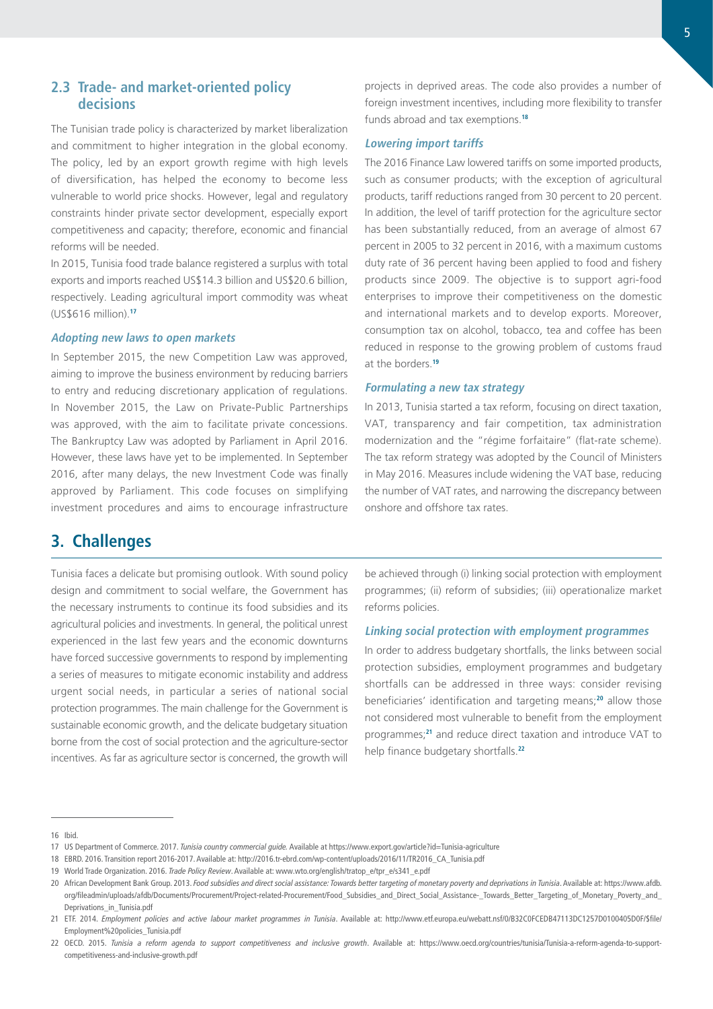The Tunisian trade policy is characterized by market liberalization and commitment to higher integration in the global economy. The policy, led by an export growth regime with high levels of diversification, has helped the economy to become less vulnerable to world price shocks. However, legal and regulatory constraints hinder private sector development, especially export competitiveness and capacity; therefore, economic and financial reforms will be needed.

In 2015, Tunisia food trade balance registered a surplus with total exports and imports reached US\$14.3 billion and US\$20.6 billion, respectively. Leading agricultural import commodity was wheat (US\$616 million).**<sup>17</sup>**

### **Adopting new laws to open markets**

In September 2015, the new Competition Law was approved, aiming to improve the business environment by reducing barriers to entry and reducing discretionary application of regulations. In November 2015, the Law on Private-Public Partnerships was approved, with the aim to facilitate private concessions. The Bankruptcy Law was adopted by Parliament in April 2016. However, these laws have yet to be implemented. In September 2016, after many delays, the new Investment Code was finally approved by Parliament. This code focuses on simplifying investment procedures and aims to encourage infrastructure

projects in deprived areas. The code also provides a number of foreign investment incentives, including more flexibility to transfer funds abroad and tax exemptions.**<sup>18</sup>**

#### **Lowering import tariffs**

The 2016 Finance Law lowered tariffs on some imported products, such as consumer products; with the exception of agricultural products, tariff reductions ranged from 30 percent to 20 percent. In addition, the level of tariff protection for the agriculture sector has been substantially reduced, from an average of almost 67 percent in 2005 to 32 percent in 2016, with a maximum customs duty rate of 36 percent having been applied to food and fishery products since 2009. The objective is to support agri-food enterprises to improve their competitiveness on the domestic and international markets and to develop exports. Moreover, consumption tax on alcohol, tobacco, tea and coffee has been reduced in response to the growing problem of customs fraud at the borders.**<sup>19</sup>**

#### **Formulating a new tax strategy**

In 2013, Tunisia started a tax reform, focusing on direct taxation, VAT, transparency and fair competition, tax administration modernization and the "régime forfaitaire" (flat-rate scheme). The tax reform strategy was adopted by the Council of Ministers in May 2016. Measures include widening the VAT base, reducing the number of VAT rates, and narrowing the discrepancy between onshore and offshore tax rates.

# **3. Challenges**

Tunisia faces a delicate but promising outlook. With sound policy design and commitment to social welfare, the Government has the necessary instruments to continue its food subsidies and its agricultural policies and investments. In general, the political unrest experienced in the last few years and the economic downturns have forced successive governments to respond by implementing a series of measures to mitigate economic instability and address urgent social needs, in particular a series of national social protection programmes. The main challenge for the Government is sustainable economic growth, and the delicate budgetary situation borne from the cost of social protection and the agriculture-sector incentives. As far as agriculture sector is concerned, the growth will

be achieved through (i) linking social protection with employment programmes; (ii) reform of subsidies; (iii) operationalize market reforms policies.

#### **Linking social protection with employment programmes**

In order to address budgetary shortfalls, the links between social protection subsidies, employment programmes and budgetary shortfalls can be addressed in three ways: consider revising beneficiaries' identification and targeting means;**<sup>20</sup>** allow those not considered most vulnerable to benefit from the employment programmes;**<sup>21</sup>** and reduce direct taxation and introduce VAT to help finance budgetary shortfalls.**<sup>22</sup>**

<sup>16</sup> Ibid.

<sup>17</sup> US Department of Commerce. 2017. *Tunisia country commercial guide.* Available at <https://www.export.gov/article?id=Tunisia-agriculture>

<sup>18</sup> EBRD. 2016. Transition report 2016-2017. Available at: [http://2016.tr-ebrd.com/wp-content/uploads/2016/11/TR2016\\_CA\\_Tunisia.pdf](http://2016.tr-ebrd.com/wp-content/uploads/2016/11/TR2016_CA_Tunisia.pdf) 

<sup>19</sup> World Trade Organization. 2016. *Trade Policy Review*. Available at: [www.wto.org/english/tratop\\_e/tpr\\_e/s341\\_e.pdf](www.wto.org/english/tratop_e/tpr_e/s341_e.pdf)

<sup>20</sup> African Development Bank Group. 2013. *Food subsidies and direct social assistance: Towards better targeting of monetary poverty and deprivations in Tunisia*. Available at: [https://www.afdb.](https://www.afdb.org/fileadmin/uploads/afdb/Documents/Procurement/Project-related-Procurement/Food_Subsidies_and_Direct_Social_Assistance-_Towards_Better_Targeting_of_Monetary_Poverty_and_Deprivations_in_Tunisia.pdf 
) [org/fileadmin/uploads/afdb/Documents/Procurement/Project-related-Procurement/Food\\_Subsidies\\_and\\_Direct\\_Social\\_Assistance-\\_Towards\\_Better\\_Targeting\\_of\\_Monetary\\_Poverty\\_and\\_](https://www.afdb.org/fileadmin/uploads/afdb/Documents/Procurement/Project-related-Procurement/Food_Subsidies_and_Direct_Social_Assistance-_Towards_Better_Targeting_of_Monetary_Poverty_and_Deprivations_in_Tunisia.pdf 
) Deprivations in Tunisia.pdf

<sup>21</sup> ETF. 2014. *Employment policies and active labour market programmes in Tunisia*. Available at: [http://www.etf.europa.eu/webatt.nsf/0/B32C0FCEDB47113DC1257D0100405D0F/\\$file/](http://www.etf.europa.eu/webatt.nsf/0/B32C0FCEDB47113DC1257D0100405D0F/$file/Employment%20policies_Tunisia.pdf) [Employment%20policies\\_Tunisia.pdf](http://www.etf.europa.eu/webatt.nsf/0/B32C0FCEDB47113DC1257D0100405D0F/$file/Employment%20policies_Tunisia.pdf) 

<sup>22</sup> OECD. 2015. *Tunisia a reform agenda to support competitiveness and inclusive growth*. Available at: [https://www.oecd.org/countries/tunisia/Tunisia-a-reform-agenda-to-support](https://www.oecd.org/countries/tunisia/Tunisia-a-reform-agenda-to-support-competitiveness-and-inclusive-growth.pdf)[competitiveness-and-inclusive-growth.pdf](https://www.oecd.org/countries/tunisia/Tunisia-a-reform-agenda-to-support-competitiveness-and-inclusive-growth.pdf)